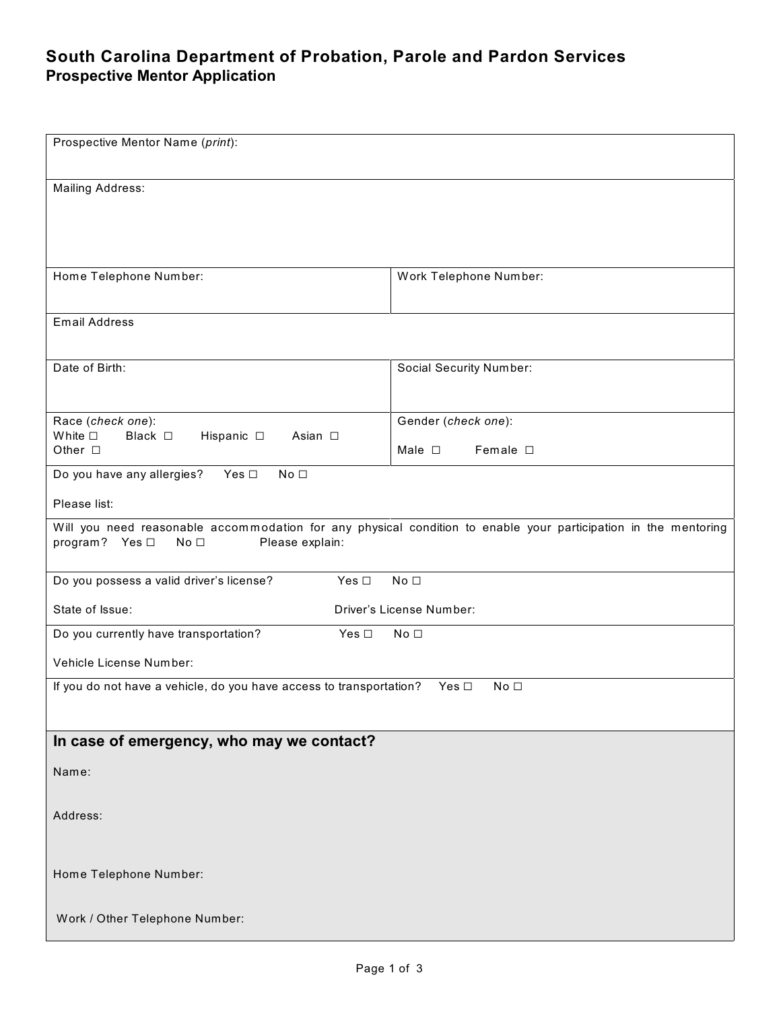## **South Carolina Department of Probation, Parole and Pardon Services Prospective Mentor Application**

| Prospective Mentor Name (print):                                                                                                                                        |                                                           |  |  |
|-------------------------------------------------------------------------------------------------------------------------------------------------------------------------|-----------------------------------------------------------|--|--|
| <b>Mailing Address:</b>                                                                                                                                                 |                                                           |  |  |
| Home Telephone Number:                                                                                                                                                  | Work Telephone Number:                                    |  |  |
| <b>Email Address</b>                                                                                                                                                    |                                                           |  |  |
| Date of Birth:                                                                                                                                                          | Social Security Number:                                   |  |  |
| Race (check one):<br>White $\square$<br>Black $\square$<br>Hispanic $\square$<br>Asian □<br>Other $\square$                                                             | Gender (check one):<br>Male $\square$<br>Female $\square$ |  |  |
| Do you have any allergies?<br>Yes $\Box$<br>No <sub>1</sub>                                                                                                             |                                                           |  |  |
| Please list:                                                                                                                                                            |                                                           |  |  |
| Will you need reasonable accommodation for any physical condition to enable your participation in the mentoring<br>program? Yes □<br>No <sub>1</sub><br>Please explain: |                                                           |  |  |
| Yes $\Box$<br>Do you possess a valid driver's license?                                                                                                                  | No <sub>1</sub>                                           |  |  |
| State of Issue:                                                                                                                                                         | Driver's License Number:                                  |  |  |
| Yes $\square$<br>Do you currently have transportation?                                                                                                                  | No <sub>1</sub>                                           |  |  |
| Vehicle License Number:                                                                                                                                                 |                                                           |  |  |
| If you do not have a vehicle, do you have access to transportation?<br>No <sub>1</sub><br>Yes $\Box$                                                                    |                                                           |  |  |
| In case of emergency, who may we contact?                                                                                                                               |                                                           |  |  |
| Name:                                                                                                                                                                   |                                                           |  |  |
| Address:                                                                                                                                                                |                                                           |  |  |
| Home Telephone Number:                                                                                                                                                  |                                                           |  |  |
| Work / Other Telephone Number:                                                                                                                                          |                                                           |  |  |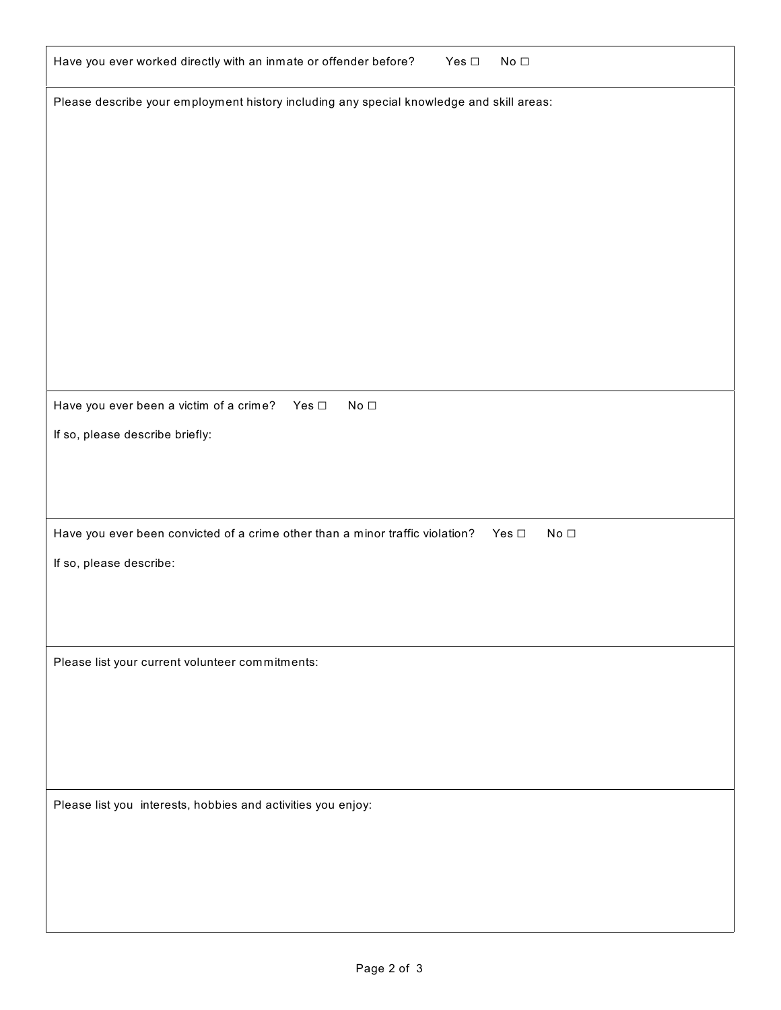| Have you ever worked directly with an inmate or offender before?                                      | Yes $\Box$ | No $\Box$                  |
|-------------------------------------------------------------------------------------------------------|------------|----------------------------|
| Please describe your employment history including any special knowledge and skill areas:              |            |                            |
|                                                                                                       |            |                            |
|                                                                                                       |            |                            |
|                                                                                                       |            |                            |
|                                                                                                       |            |                            |
|                                                                                                       |            |                            |
|                                                                                                       |            |                            |
|                                                                                                       |            |                            |
|                                                                                                       |            |                            |
| Have you ever been a victim of a crime?<br>Yes $\Box$<br>No $\Box$<br>If so, please describe briefly: |            |                            |
|                                                                                                       |            |                            |
|                                                                                                       |            |                            |
| Have you ever been convicted of a crime other than a minor traffic violation?                         |            | No $\Box$<br>Yes $\square$ |
| If so, please describe:                                                                               |            |                            |
|                                                                                                       |            |                            |
|                                                                                                       |            |                            |
| Please list your current volunteer commitments:                                                       |            |                            |
|                                                                                                       |            |                            |
|                                                                                                       |            |                            |
|                                                                                                       |            |                            |
| Please list you interests, hobbies and activities you enjoy:                                          |            |                            |
|                                                                                                       |            |                            |
|                                                                                                       |            |                            |
|                                                                                                       |            |                            |